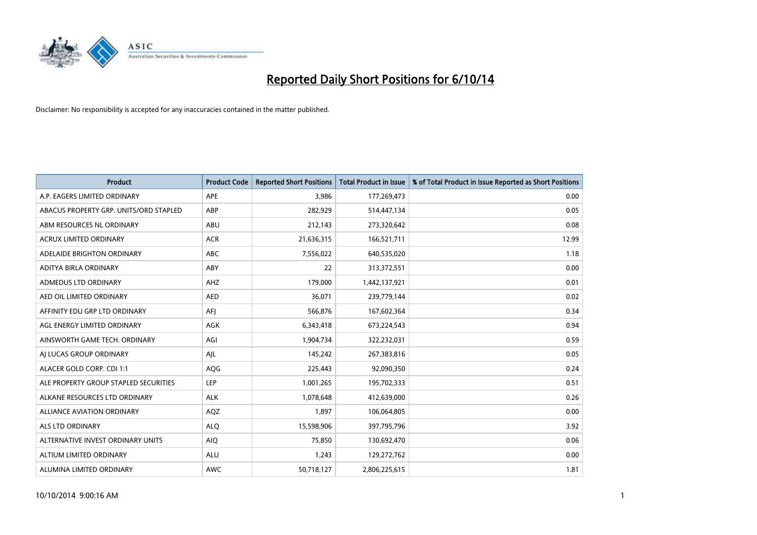

| <b>Product</b>                         | <b>Product Code</b> | <b>Reported Short Positions</b> | <b>Total Product in Issue</b> | % of Total Product in Issue Reported as Short Positions |
|----------------------------------------|---------------------|---------------------------------|-------------------------------|---------------------------------------------------------|
| A.P. EAGERS LIMITED ORDINARY           | APE                 | 3,986                           | 177,269,473                   | 0.00                                                    |
| ABACUS PROPERTY GRP. UNITS/ORD STAPLED | ABP                 | 282,929                         | 514,447,134                   | 0.05                                                    |
| ABM RESOURCES NL ORDINARY              | ABU                 | 212,143                         | 273,320,642                   | 0.08                                                    |
| ACRUX LIMITED ORDINARY                 | <b>ACR</b>          | 21,636,315                      | 166,521,711                   | 12.99                                                   |
| ADELAIDE BRIGHTON ORDINARY             | <b>ABC</b>          | 7,556,022                       | 640,535,020                   | 1.18                                                    |
| ADITYA BIRLA ORDINARY                  | ABY                 | 22                              | 313,372,551                   | 0.00                                                    |
| ADMEDUS LTD ORDINARY                   | AHZ                 | 179,000                         | 1,442,137,921                 | 0.01                                                    |
| AED OIL LIMITED ORDINARY               | <b>AED</b>          | 36,071                          | 239,779,144                   | 0.02                                                    |
| AFFINITY EDU GRP LTD ORDINARY          | AFJ                 | 566,876                         | 167,602,364                   | 0.34                                                    |
| AGL ENERGY LIMITED ORDINARY            | <b>AGK</b>          | 6,343,418                       | 673,224,543                   | 0.94                                                    |
| AINSWORTH GAME TECH. ORDINARY          | AGI                 | 1,904,734                       | 322,232,031                   | 0.59                                                    |
| AI LUCAS GROUP ORDINARY                | AJL                 | 145,242                         | 267,383,816                   | 0.05                                                    |
| ALACER GOLD CORP. CDI 1:1              | AQG                 | 225,443                         | 92,090,350                    | 0.24                                                    |
| ALE PROPERTY GROUP STAPLED SECURITIES  | LEP                 | 1,001,265                       | 195,702,333                   | 0.51                                                    |
| ALKANE RESOURCES LTD ORDINARY          | <b>ALK</b>          | 1,078,648                       | 412,639,000                   | 0.26                                                    |
| ALLIANCE AVIATION ORDINARY             | AQZ                 | 1,897                           | 106,064,805                   | 0.00                                                    |
| ALS LTD ORDINARY                       | <b>ALQ</b>          | 15,598,906                      | 397,795,796                   | 3.92                                                    |
| ALTERNATIVE INVEST ORDINARY UNITS      | <b>AIQ</b>          | 75,850                          | 130,692,470                   | 0.06                                                    |
| ALTIUM LIMITED ORDINARY                | <b>ALU</b>          | 1,243                           | 129,272,762                   | 0.00                                                    |
| ALUMINA LIMITED ORDINARY               | <b>AWC</b>          | 50,718,127                      | 2,806,225,615                 | 1.81                                                    |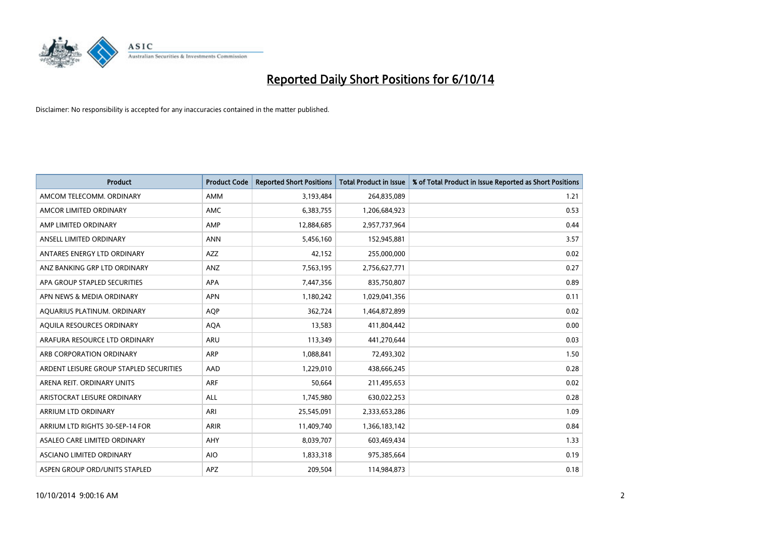

| <b>Product</b>                          | <b>Product Code</b> | <b>Reported Short Positions</b> | <b>Total Product in Issue</b> | % of Total Product in Issue Reported as Short Positions |
|-----------------------------------------|---------------------|---------------------------------|-------------------------------|---------------------------------------------------------|
| AMCOM TELECOMM, ORDINARY                | <b>AMM</b>          | 3,193,484                       | 264,835,089                   | 1.21                                                    |
| AMCOR LIMITED ORDINARY                  | AMC                 | 6,383,755                       | 1,206,684,923                 | 0.53                                                    |
| AMP LIMITED ORDINARY                    | AMP                 | 12,884,685                      | 2,957,737,964                 | 0.44                                                    |
| ANSELL LIMITED ORDINARY                 | <b>ANN</b>          | 5,456,160                       | 152,945,881                   | 3.57                                                    |
| ANTARES ENERGY LTD ORDINARY             | AZZ                 | 42,152                          | 255,000,000                   | 0.02                                                    |
| ANZ BANKING GRP LTD ORDINARY            | ANZ                 | 7,563,195                       | 2,756,627,771                 | 0.27                                                    |
| APA GROUP STAPLED SECURITIES            | APA                 | 7,447,356                       | 835,750,807                   | 0.89                                                    |
| APN NEWS & MEDIA ORDINARY               | <b>APN</b>          | 1,180,242                       | 1,029,041,356                 | 0.11                                                    |
| AQUARIUS PLATINUM. ORDINARY             | <b>AOP</b>          | 362,724                         | 1,464,872,899                 | 0.02                                                    |
| AQUILA RESOURCES ORDINARY               | <b>AQA</b>          | 13,583                          | 411,804,442                   | 0.00                                                    |
| ARAFURA RESOURCE LTD ORDINARY           | ARU                 | 113,349                         | 441,270,644                   | 0.03                                                    |
| ARB CORPORATION ORDINARY                | <b>ARP</b>          | 1,088,841                       | 72,493,302                    | 1.50                                                    |
| ARDENT LEISURE GROUP STAPLED SECURITIES | AAD                 | 1,229,010                       | 438,666,245                   | 0.28                                                    |
| ARENA REIT. ORDINARY UNITS              | ARF                 | 50,664                          | 211,495,653                   | 0.02                                                    |
| ARISTOCRAT LEISURE ORDINARY             | ALL                 | 1,745,980                       | 630,022,253                   | 0.28                                                    |
| ARRIUM LTD ORDINARY                     | ARI                 | 25,545,091                      | 2,333,653,286                 | 1.09                                                    |
| ARRIUM LTD RIGHTS 30-SEP-14 FOR         | <b>ARIR</b>         | 11,409,740                      | 1,366,183,142                 | 0.84                                                    |
| ASALEO CARE LIMITED ORDINARY            | <b>AHY</b>          | 8,039,707                       | 603,469,434                   | 1.33                                                    |
| ASCIANO LIMITED ORDINARY                | <b>AIO</b>          | 1,833,318                       | 975,385,664                   | 0.19                                                    |
| ASPEN GROUP ORD/UNITS STAPLED           | <b>APZ</b>          | 209,504                         | 114,984,873                   | 0.18                                                    |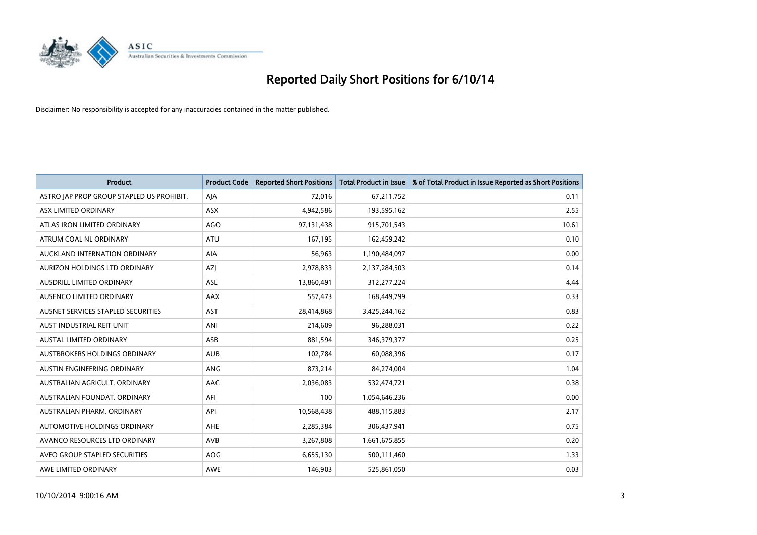

| <b>Product</b>                            | <b>Product Code</b> | <b>Reported Short Positions</b> | <b>Total Product in Issue</b> | % of Total Product in Issue Reported as Short Positions |
|-------------------------------------------|---------------------|---------------------------------|-------------------------------|---------------------------------------------------------|
| ASTRO JAP PROP GROUP STAPLED US PROHIBIT. | AJA                 | 72,016                          | 67,211,752                    | 0.11                                                    |
| ASX LIMITED ORDINARY                      | ASX                 | 4,942,586                       | 193,595,162                   | 2.55                                                    |
| ATLAS IRON LIMITED ORDINARY               | <b>AGO</b>          | 97,131,438                      | 915,701,543                   | 10.61                                                   |
| ATRUM COAL NL ORDINARY                    | ATU                 | 167,195                         | 162,459,242                   | 0.10                                                    |
| AUCKLAND INTERNATION ORDINARY             | AIA                 | 56,963                          | 1,190,484,097                 | 0.00                                                    |
| AURIZON HOLDINGS LTD ORDINARY             | AZJ                 | 2,978,833                       | 2,137,284,503                 | 0.14                                                    |
| AUSDRILL LIMITED ORDINARY                 | ASL                 | 13,860,491                      | 312,277,224                   | 4.44                                                    |
| AUSENCO LIMITED ORDINARY                  | AAX                 | 557,473                         | 168,449,799                   | 0.33                                                    |
| AUSNET SERVICES STAPLED SECURITIES        | AST                 | 28,414,868                      | 3,425,244,162                 | 0.83                                                    |
| AUST INDUSTRIAL REIT UNIT                 | ANI                 | 214,609                         | 96,288,031                    | 0.22                                                    |
| AUSTAL LIMITED ORDINARY                   | ASB                 | 881,594                         | 346,379,377                   | 0.25                                                    |
| AUSTBROKERS HOLDINGS ORDINARY             | <b>AUB</b>          | 102,784                         | 60,088,396                    | 0.17                                                    |
| AUSTIN ENGINEERING ORDINARY               | ANG                 | 873,214                         | 84,274,004                    | 1.04                                                    |
| AUSTRALIAN AGRICULT, ORDINARY             | AAC                 | 2,036,083                       | 532,474,721                   | 0.38                                                    |
| AUSTRALIAN FOUNDAT, ORDINARY              | AFI                 | 100                             | 1,054,646,236                 | 0.00                                                    |
| AUSTRALIAN PHARM, ORDINARY                | API                 | 10,568,438                      | 488,115,883                   | 2.17                                                    |
| AUTOMOTIVE HOLDINGS ORDINARY              | AHE                 | 2,285,384                       | 306,437,941                   | 0.75                                                    |
| AVANCO RESOURCES LTD ORDINARY             | AVB                 | 3,267,808                       | 1,661,675,855                 | 0.20                                                    |
| AVEO GROUP STAPLED SECURITIES             | AOG                 | 6,655,130                       | 500,111,460                   | 1.33                                                    |
| AWE LIMITED ORDINARY                      | <b>AWE</b>          | 146,903                         | 525,861,050                   | 0.03                                                    |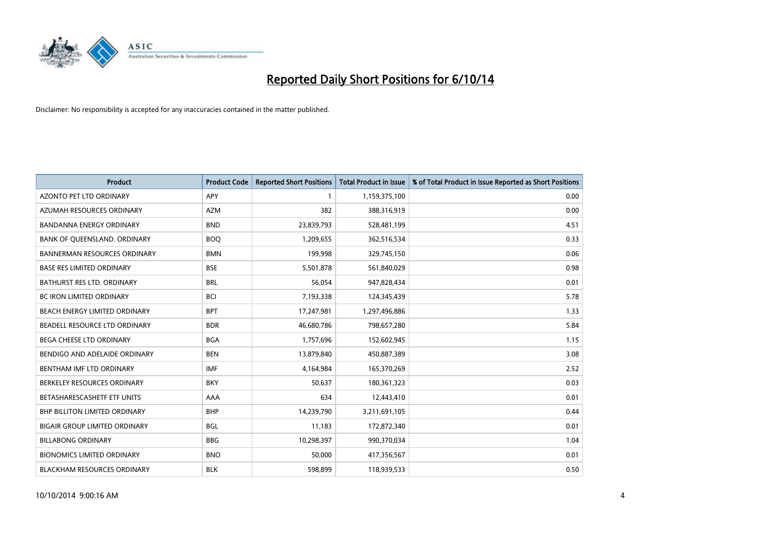

| <b>Product</b>                       | <b>Product Code</b> | <b>Reported Short Positions</b> | <b>Total Product in Issue</b> | % of Total Product in Issue Reported as Short Positions |
|--------------------------------------|---------------------|---------------------------------|-------------------------------|---------------------------------------------------------|
| <b>AZONTO PET LTD ORDINARY</b>       | APY                 | 1                               | 1,159,375,100                 | 0.00                                                    |
| AZUMAH RESOURCES ORDINARY            | AZM                 | 382                             | 388,316,919                   | 0.00                                                    |
| <b>BANDANNA ENERGY ORDINARY</b>      | <b>BND</b>          | 23,839,793                      | 528,481,199                   | 4.51                                                    |
| BANK OF QUEENSLAND. ORDINARY         | <b>BOQ</b>          | 1,209,655                       | 362,516,534                   | 0.33                                                    |
| <b>BANNERMAN RESOURCES ORDINARY</b>  | <b>BMN</b>          | 199,998                         | 329,745,150                   | 0.06                                                    |
| <b>BASE RES LIMITED ORDINARY</b>     | <b>BSE</b>          | 5,501,878                       | 561,840,029                   | 0.98                                                    |
| BATHURST RES LTD. ORDINARY           | <b>BRL</b>          | 56,054                          | 947,828,434                   | 0.01                                                    |
| BC IRON LIMITED ORDINARY             | <b>BCI</b>          | 7,193,338                       | 124,345,439                   | 5.78                                                    |
| BEACH ENERGY LIMITED ORDINARY        | <b>BPT</b>          | 17,247,981                      | 1,297,496,886                 | 1.33                                                    |
| <b>BEADELL RESOURCE LTD ORDINARY</b> | <b>BDR</b>          | 46,680,786                      | 798,657,280                   | 5.84                                                    |
| BEGA CHEESE LTD ORDINARY             | <b>BGA</b>          | 1,757,696                       | 152,602,945                   | 1.15                                                    |
| BENDIGO AND ADELAIDE ORDINARY        | <b>BEN</b>          | 13,879,840                      | 450,887,389                   | 3.08                                                    |
| BENTHAM IMF LTD ORDINARY             | <b>IMF</b>          | 4,164,984                       | 165,370,269                   | 2.52                                                    |
| BERKELEY RESOURCES ORDINARY          | <b>BKY</b>          | 50,637                          | 180,361,323                   | 0.03                                                    |
| BETASHARESCASHETF ETF UNITS          | AAA                 | 634                             | 12,443,410                    | 0.01                                                    |
| BHP BILLITON LIMITED ORDINARY        | <b>BHP</b>          | 14,239,790                      | 3,211,691,105                 | 0.44                                                    |
| BIGAIR GROUP LIMITED ORDINARY        | <b>BGL</b>          | 11,183                          | 172,872,340                   | 0.01                                                    |
| <b>BILLABONG ORDINARY</b>            | <b>BBG</b>          | 10,298,397                      | 990,370,034                   | 1.04                                                    |
| <b>BIONOMICS LIMITED ORDINARY</b>    | <b>BNO</b>          | 50,000                          | 417,356,567                   | 0.01                                                    |
| BLACKHAM RESOURCES ORDINARY          | <b>BLK</b>          | 598,899                         | 118,939,533                   | 0.50                                                    |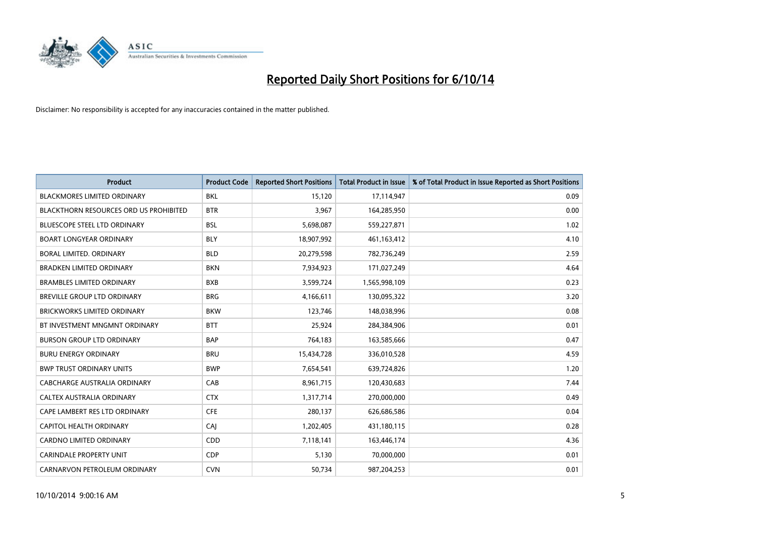

| <b>Product</b>                         | <b>Product Code</b> | <b>Reported Short Positions</b> | <b>Total Product in Issue</b> | % of Total Product in Issue Reported as Short Positions |
|----------------------------------------|---------------------|---------------------------------|-------------------------------|---------------------------------------------------------|
| <b>BLACKMORES LIMITED ORDINARY</b>     | <b>BKL</b>          | 15,120                          | 17,114,947                    | 0.09                                                    |
| BLACKTHORN RESOURCES ORD US PROHIBITED | <b>BTR</b>          | 3,967                           | 164,285,950                   | 0.00                                                    |
| <b>BLUESCOPE STEEL LTD ORDINARY</b>    | <b>BSL</b>          | 5,698,087                       | 559,227,871                   | 1.02                                                    |
| <b>BOART LONGYEAR ORDINARY</b>         | <b>BLY</b>          | 18,907,992                      | 461,163,412                   | 4.10                                                    |
| <b>BORAL LIMITED, ORDINARY</b>         | <b>BLD</b>          | 20,279,598                      | 782,736,249                   | 2.59                                                    |
| <b>BRADKEN LIMITED ORDINARY</b>        | <b>BKN</b>          | 7,934,923                       | 171,027,249                   | 4.64                                                    |
| <b>BRAMBLES LIMITED ORDINARY</b>       | <b>BXB</b>          | 3,599,724                       | 1,565,998,109                 | 0.23                                                    |
| BREVILLE GROUP LTD ORDINARY            | <b>BRG</b>          | 4,166,611                       | 130,095,322                   | 3.20                                                    |
| BRICKWORKS LIMITED ORDINARY            | <b>BKW</b>          | 123,746                         | 148,038,996                   | 0.08                                                    |
| BT INVESTMENT MNGMNT ORDINARY          | <b>BTT</b>          | 25,924                          | 284,384,906                   | 0.01                                                    |
| <b>BURSON GROUP LTD ORDINARY</b>       | <b>BAP</b>          | 764,183                         | 163,585,666                   | 0.47                                                    |
| <b>BURU ENERGY ORDINARY</b>            | <b>BRU</b>          | 15,434,728                      | 336,010,528                   | 4.59                                                    |
| <b>BWP TRUST ORDINARY UNITS</b>        | <b>BWP</b>          | 7,654,541                       | 639,724,826                   | 1.20                                                    |
| <b>CABCHARGE AUSTRALIA ORDINARY</b>    | CAB                 | 8,961,715                       | 120,430,683                   | 7.44                                                    |
| CALTEX AUSTRALIA ORDINARY              | <b>CTX</b>          | 1,317,714                       | 270,000,000                   | 0.49                                                    |
| CAPE LAMBERT RES LTD ORDINARY          | <b>CFE</b>          | 280,137                         | 626,686,586                   | 0.04                                                    |
| <b>CAPITOL HEALTH ORDINARY</b>         | CAJ                 | 1,202,405                       | 431,180,115                   | 0.28                                                    |
| <b>CARDNO LIMITED ORDINARY</b>         | CDD                 | 7,118,141                       | 163,446,174                   | 4.36                                                    |
| <b>CARINDALE PROPERTY UNIT</b>         | <b>CDP</b>          | 5,130                           | 70,000,000                    | 0.01                                                    |
| CARNARVON PETROLEUM ORDINARY           | <b>CVN</b>          | 50,734                          | 987,204,253                   | 0.01                                                    |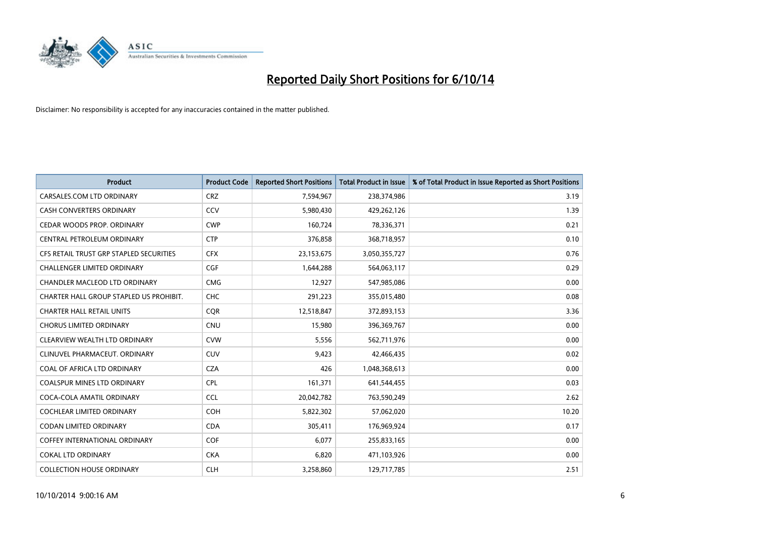

| <b>Product</b>                          | <b>Product Code</b> | <b>Reported Short Positions</b> | <b>Total Product in Issue</b> | % of Total Product in Issue Reported as Short Positions |
|-----------------------------------------|---------------------|---------------------------------|-------------------------------|---------------------------------------------------------|
| CARSALES.COM LTD ORDINARY               | <b>CRZ</b>          | 7,594,967                       | 238,374,986                   | 3.19                                                    |
| <b>CASH CONVERTERS ORDINARY</b>         | CCV                 | 5,980,430                       | 429,262,126                   | 1.39                                                    |
| CEDAR WOODS PROP. ORDINARY              | <b>CWP</b>          | 160,724                         | 78,336,371                    | 0.21                                                    |
| CENTRAL PETROLEUM ORDINARY              | <b>CTP</b>          | 376,858                         | 368,718,957                   | 0.10                                                    |
| CFS RETAIL TRUST GRP STAPLED SECURITIES | <b>CFX</b>          | 23,153,675                      | 3,050,355,727                 | 0.76                                                    |
| <b>CHALLENGER LIMITED ORDINARY</b>      | <b>CGF</b>          | 1,644,288                       | 564,063,117                   | 0.29                                                    |
| CHANDLER MACLEOD LTD ORDINARY           | <b>CMG</b>          | 12,927                          | 547,985,086                   | 0.00                                                    |
| CHARTER HALL GROUP STAPLED US PROHIBIT. | <b>CHC</b>          | 291,223                         | 355,015,480                   | 0.08                                                    |
| <b>CHARTER HALL RETAIL UNITS</b>        | <b>COR</b>          | 12,518,847                      | 372,893,153                   | 3.36                                                    |
| <b>CHORUS LIMITED ORDINARY</b>          | <b>CNU</b>          | 15,980                          | 396,369,767                   | 0.00                                                    |
| CLEARVIEW WEALTH LTD ORDINARY           | <b>CVW</b>          | 5,556                           | 562,711,976                   | 0.00                                                    |
| CLINUVEL PHARMACEUT, ORDINARY           | <b>CUV</b>          | 9,423                           | 42,466,435                    | 0.02                                                    |
| COAL OF AFRICA LTD ORDINARY             | <b>CZA</b>          | 426                             | 1,048,368,613                 | 0.00                                                    |
| <b>COALSPUR MINES LTD ORDINARY</b>      | <b>CPL</b>          | 161,371                         | 641,544,455                   | 0.03                                                    |
| COCA-COLA AMATIL ORDINARY               | <b>CCL</b>          | 20,042,782                      | 763,590,249                   | 2.62                                                    |
| <b>COCHLEAR LIMITED ORDINARY</b>        | <b>COH</b>          | 5,822,302                       | 57,062,020                    | 10.20                                                   |
| <b>CODAN LIMITED ORDINARY</b>           | <b>CDA</b>          | 305,411                         | 176,969,924                   | 0.17                                                    |
| <b>COFFEY INTERNATIONAL ORDINARY</b>    | <b>COF</b>          | 6.077                           | 255,833,165                   | 0.00                                                    |
| <b>COKAL LTD ORDINARY</b>               | <b>CKA</b>          | 6,820                           | 471,103,926                   | 0.00                                                    |
| <b>COLLECTION HOUSE ORDINARY</b>        | <b>CLH</b>          | 3,258,860                       | 129,717,785                   | 2.51                                                    |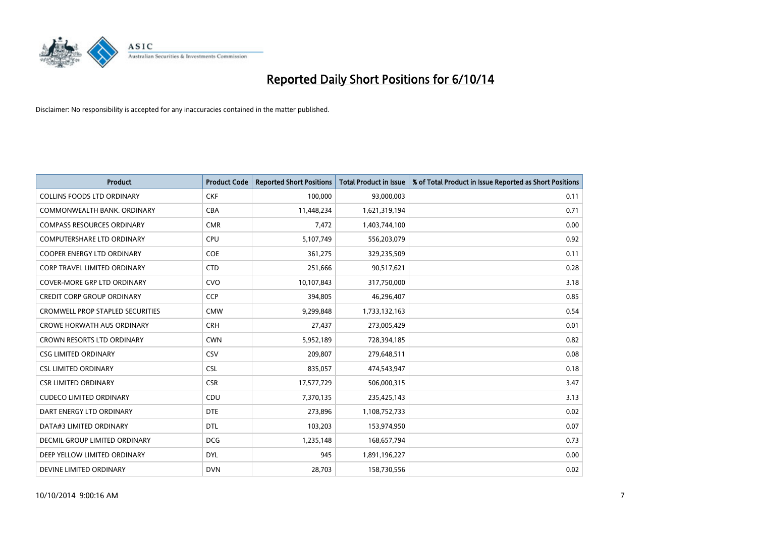

| <b>Product</b>                          | <b>Product Code</b> | <b>Reported Short Positions</b> | <b>Total Product in Issue</b> | % of Total Product in Issue Reported as Short Positions |
|-----------------------------------------|---------------------|---------------------------------|-------------------------------|---------------------------------------------------------|
| <b>COLLINS FOODS LTD ORDINARY</b>       | <b>CKF</b>          | 100,000                         | 93,000,003                    | 0.11                                                    |
| COMMONWEALTH BANK, ORDINARY             | <b>CBA</b>          | 11,448,234                      | 1,621,319,194                 | 0.71                                                    |
| <b>COMPASS RESOURCES ORDINARY</b>       | <b>CMR</b>          | 7,472                           | 1,403,744,100                 | 0.00                                                    |
| <b>COMPUTERSHARE LTD ORDINARY</b>       | <b>CPU</b>          | 5,107,749                       | 556,203,079                   | 0.92                                                    |
| <b>COOPER ENERGY LTD ORDINARY</b>       | <b>COE</b>          | 361,275                         | 329,235,509                   | 0.11                                                    |
| <b>CORP TRAVEL LIMITED ORDINARY</b>     | <b>CTD</b>          | 251,666                         | 90,517,621                    | 0.28                                                    |
| COVER-MORE GRP LTD ORDINARY             | <b>CVO</b>          | 10,107,843                      | 317,750,000                   | 3.18                                                    |
| <b>CREDIT CORP GROUP ORDINARY</b>       | <b>CCP</b>          | 394,805                         | 46,296,407                    | 0.85                                                    |
| <b>CROMWELL PROP STAPLED SECURITIES</b> | <b>CMW</b>          | 9,299,848                       | 1,733,132,163                 | 0.54                                                    |
| <b>CROWE HORWATH AUS ORDINARY</b>       | <b>CRH</b>          | 27,437                          | 273,005,429                   | 0.01                                                    |
| CROWN RESORTS LTD ORDINARY              | <b>CWN</b>          | 5,952,189                       | 728,394,185                   | 0.82                                                    |
| <b>CSG LIMITED ORDINARY</b>             | CSV                 | 209,807                         | 279,648,511                   | 0.08                                                    |
| <b>CSL LIMITED ORDINARY</b>             | <b>CSL</b>          | 835,057                         | 474,543,947                   | 0.18                                                    |
| <b>CSR LIMITED ORDINARY</b>             | <b>CSR</b>          | 17,577,729                      | 506,000,315                   | 3.47                                                    |
| <b>CUDECO LIMITED ORDINARY</b>          | CDU                 | 7,370,135                       | 235,425,143                   | 3.13                                                    |
| DART ENERGY LTD ORDINARY                | <b>DTE</b>          | 273,896                         | 1,108,752,733                 | 0.02                                                    |
| DATA#3 LIMITED ORDINARY                 | DTL                 | 103,203                         | 153,974,950                   | 0.07                                                    |
| DECMIL GROUP LIMITED ORDINARY           | <b>DCG</b>          | 1,235,148                       | 168,657,794                   | 0.73                                                    |
| DEEP YELLOW LIMITED ORDINARY            | <b>DYL</b>          | 945                             | 1,891,196,227                 | 0.00                                                    |
| DEVINE LIMITED ORDINARY                 | <b>DVN</b>          | 28,703                          | 158,730,556                   | 0.02                                                    |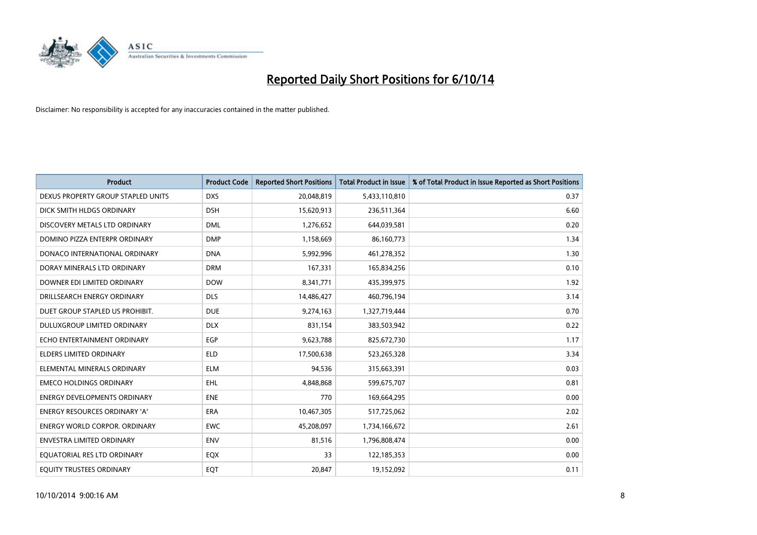

| <b>Product</b>                       | <b>Product Code</b> | <b>Reported Short Positions</b> | <b>Total Product in Issue</b> | % of Total Product in Issue Reported as Short Positions |
|--------------------------------------|---------------------|---------------------------------|-------------------------------|---------------------------------------------------------|
| DEXUS PROPERTY GROUP STAPLED UNITS   | <b>DXS</b>          | 20,048,819                      | 5,433,110,810                 | 0.37                                                    |
| DICK SMITH HLDGS ORDINARY            | <b>DSH</b>          | 15,620,913                      | 236,511,364                   | 6.60                                                    |
| DISCOVERY METALS LTD ORDINARY        | <b>DML</b>          | 1,276,652                       | 644,039,581                   | 0.20                                                    |
| DOMINO PIZZA ENTERPR ORDINARY        | <b>DMP</b>          | 1,158,669                       | 86,160,773                    | 1.34                                                    |
| DONACO INTERNATIONAL ORDINARY        | <b>DNA</b>          | 5,992,996                       | 461,278,352                   | 1.30                                                    |
| DORAY MINERALS LTD ORDINARY          | <b>DRM</b>          | 167,331                         | 165,834,256                   | 0.10                                                    |
| DOWNER EDI LIMITED ORDINARY          | <b>DOW</b>          | 8,341,771                       | 435,399,975                   | 1.92                                                    |
| DRILLSEARCH ENERGY ORDINARY          | <b>DLS</b>          | 14,486,427                      | 460,796,194                   | 3.14                                                    |
| DUET GROUP STAPLED US PROHIBIT.      | <b>DUE</b>          | 9,274,163                       | 1,327,719,444                 | 0.70                                                    |
| DULUXGROUP LIMITED ORDINARY          | <b>DLX</b>          | 831,154                         | 383,503,942                   | 0.22                                                    |
| ECHO ENTERTAINMENT ORDINARY          | EGP                 | 9,623,788                       | 825,672,730                   | 1.17                                                    |
| ELDERS LIMITED ORDINARY              | <b>ELD</b>          | 17,500,638                      | 523,265,328                   | 3.34                                                    |
| ELEMENTAL MINERALS ORDINARY          | <b>ELM</b>          | 94,536                          | 315,663,391                   | 0.03                                                    |
| <b>EMECO HOLDINGS ORDINARY</b>       | <b>EHL</b>          | 4,848,868                       | 599,675,707                   | 0.81                                                    |
| <b>ENERGY DEVELOPMENTS ORDINARY</b>  | <b>ENE</b>          | 770                             | 169,664,295                   | 0.00                                                    |
| ENERGY RESOURCES ORDINARY 'A'        | ERA                 | 10,467,305                      | 517,725,062                   | 2.02                                                    |
| <b>ENERGY WORLD CORPOR. ORDINARY</b> | <b>EWC</b>          | 45,208,097                      | 1,734,166,672                 | 2.61                                                    |
| <b>ENVESTRA LIMITED ORDINARY</b>     | <b>ENV</b>          | 81,516                          | 1,796,808,474                 | 0.00                                                    |
| EQUATORIAL RES LTD ORDINARY          | EQX                 | 33                              | 122,185,353                   | 0.00                                                    |
| EQUITY TRUSTEES ORDINARY             | EQT                 | 20,847                          | 19,152,092                    | 0.11                                                    |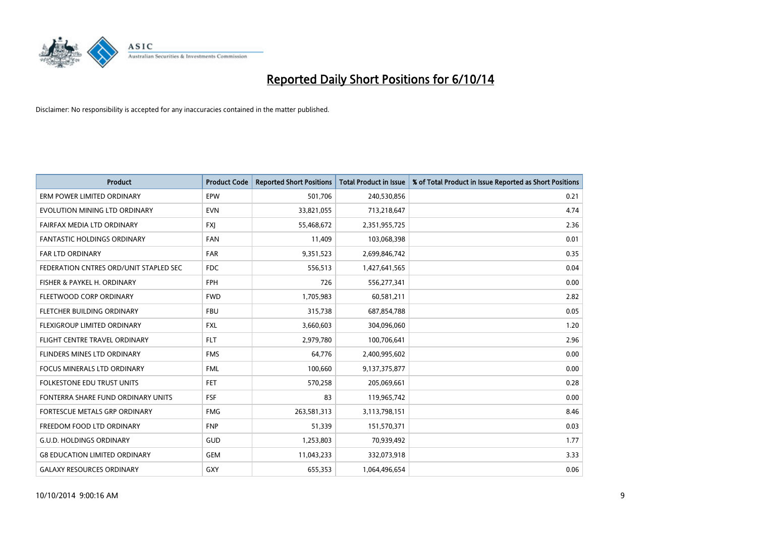

| <b>Product</b>                         | <b>Product Code</b> | <b>Reported Short Positions</b> | <b>Total Product in Issue</b> | % of Total Product in Issue Reported as Short Positions |
|----------------------------------------|---------------------|---------------------------------|-------------------------------|---------------------------------------------------------|
| ERM POWER LIMITED ORDINARY             | EPW                 | 501,706                         | 240,530,856                   | 0.21                                                    |
| EVOLUTION MINING LTD ORDINARY          | <b>EVN</b>          | 33,821,055                      | 713,218,647                   | 4.74                                                    |
| FAIRFAX MEDIA LTD ORDINARY             | <b>FXI</b>          | 55,468,672                      | 2,351,955,725                 | 2.36                                                    |
| <b>FANTASTIC HOLDINGS ORDINARY</b>     | <b>FAN</b>          | 11,409                          | 103,068,398                   | 0.01                                                    |
| <b>FAR LTD ORDINARY</b>                | <b>FAR</b>          | 9,351,523                       | 2,699,846,742                 | 0.35                                                    |
| FEDERATION CNTRES ORD/UNIT STAPLED SEC | <b>FDC</b>          | 556,513                         | 1,427,641,565                 | 0.04                                                    |
| FISHER & PAYKEL H. ORDINARY            | <b>FPH</b>          | 726                             | 556,277,341                   | 0.00                                                    |
| FLEETWOOD CORP ORDINARY                | <b>FWD</b>          | 1,705,983                       | 60,581,211                    | 2.82                                                    |
| FLETCHER BUILDING ORDINARY             | <b>FBU</b>          | 315,738                         | 687,854,788                   | 0.05                                                    |
| FLEXIGROUP LIMITED ORDINARY            | <b>FXL</b>          | 3,660,603                       | 304,096,060                   | 1.20                                                    |
| FLIGHT CENTRE TRAVEL ORDINARY          | <b>FLT</b>          | 2,979,780                       | 100,706,641                   | 2.96                                                    |
| FLINDERS MINES LTD ORDINARY            | <b>FMS</b>          | 64,776                          | 2,400,995,602                 | 0.00                                                    |
| <b>FOCUS MINERALS LTD ORDINARY</b>     | <b>FML</b>          | 100,660                         | 9,137,375,877                 | 0.00                                                    |
| <b>FOLKESTONE EDU TRUST UNITS</b>      | <b>FET</b>          | 570,258                         | 205,069,661                   | 0.28                                                    |
| FONTERRA SHARE FUND ORDINARY UNITS     | <b>FSF</b>          | 83                              | 119,965,742                   | 0.00                                                    |
| FORTESCUE METALS GRP ORDINARY          | <b>FMG</b>          | 263,581,313                     | 3,113,798,151                 | 8.46                                                    |
| FREEDOM FOOD LTD ORDINARY              | <b>FNP</b>          | 51,339                          | 151,570,371                   | 0.03                                                    |
| <b>G.U.D. HOLDINGS ORDINARY</b>        | GUD                 | 1,253,803                       | 70,939,492                    | 1.77                                                    |
| <b>G8 EDUCATION LIMITED ORDINARY</b>   | <b>GEM</b>          | 11,043,233                      | 332,073,918                   | 3.33                                                    |
| <b>GALAXY RESOURCES ORDINARY</b>       | <b>GXY</b>          | 655,353                         | 1,064,496,654                 | 0.06                                                    |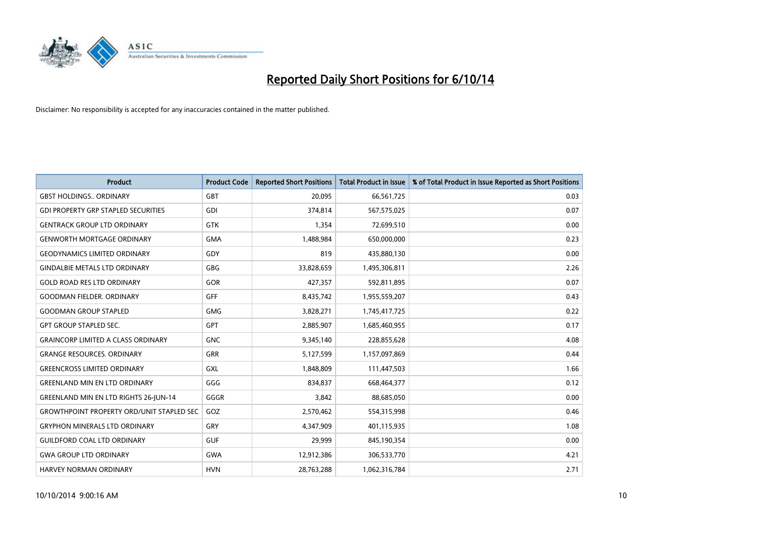

| <b>Product</b>                                   | <b>Product Code</b> | <b>Reported Short Positions</b> | <b>Total Product in Issue</b> | % of Total Product in Issue Reported as Short Positions |
|--------------------------------------------------|---------------------|---------------------------------|-------------------------------|---------------------------------------------------------|
| <b>GBST HOLDINGS., ORDINARY</b>                  | GBT                 | 20,095                          | 66,561,725                    | 0.03                                                    |
| <b>GDI PROPERTY GRP STAPLED SECURITIES</b>       | GDI                 | 374,814                         | 567,575,025                   | 0.07                                                    |
| <b>GENTRACK GROUP LTD ORDINARY</b>               | <b>GTK</b>          | 1,354                           | 72,699,510                    | 0.00                                                    |
| <b>GENWORTH MORTGAGE ORDINARY</b>                | <b>GMA</b>          | 1,488,984                       | 650,000,000                   | 0.23                                                    |
| <b>GEODYNAMICS LIMITED ORDINARY</b>              | GDY                 | 819                             | 435,880,130                   | 0.00                                                    |
| <b>GINDALBIE METALS LTD ORDINARY</b>             | <b>GBG</b>          | 33,828,659                      | 1,495,306,811                 | 2.26                                                    |
| <b>GOLD ROAD RES LTD ORDINARY</b>                | <b>GOR</b>          | 427,357                         | 592,811,895                   | 0.07                                                    |
| <b>GOODMAN FIELDER, ORDINARY</b>                 | GFF                 | 8,435,742                       | 1,955,559,207                 | 0.43                                                    |
| <b>GOODMAN GROUP STAPLED</b>                     | <b>GMG</b>          | 3,828,271                       | 1,745,417,725                 | 0.22                                                    |
| <b>GPT GROUP STAPLED SEC.</b>                    | GPT                 | 2,885,907                       | 1,685,460,955                 | 0.17                                                    |
| <b>GRAINCORP LIMITED A CLASS ORDINARY</b>        | <b>GNC</b>          | 9,345,140                       | 228,855,628                   | 4.08                                                    |
| <b>GRANGE RESOURCES, ORDINARY</b>                | <b>GRR</b>          | 5,127,599                       | 1,157,097,869                 | 0.44                                                    |
| <b>GREENCROSS LIMITED ORDINARY</b>               | GXL                 | 1,848,809                       | 111,447,503                   | 1.66                                                    |
| <b>GREENLAND MIN EN LTD ORDINARY</b>             | GGG                 | 834,837                         | 668,464,377                   | 0.12                                                    |
| <b>GREENLAND MIN EN LTD RIGHTS 26-JUN-14</b>     | GGGR                | 3,842                           | 88,685,050                    | 0.00                                                    |
| <b>GROWTHPOINT PROPERTY ORD/UNIT STAPLED SEC</b> | GOZ                 | 2,570,462                       | 554,315,998                   | 0.46                                                    |
| <b>GRYPHON MINERALS LTD ORDINARY</b>             | GRY                 | 4,347,909                       | 401,115,935                   | 1.08                                                    |
| <b>GUILDFORD COAL LTD ORDINARY</b>               | <b>GUF</b>          | 29,999                          | 845,190,354                   | 0.00                                                    |
| <b>GWA GROUP LTD ORDINARY</b>                    | <b>GWA</b>          | 12,912,386                      | 306,533,770                   | 4.21                                                    |
| <b>HARVEY NORMAN ORDINARY</b>                    | <b>HVN</b>          | 28,763,288                      | 1,062,316,784                 | 2.71                                                    |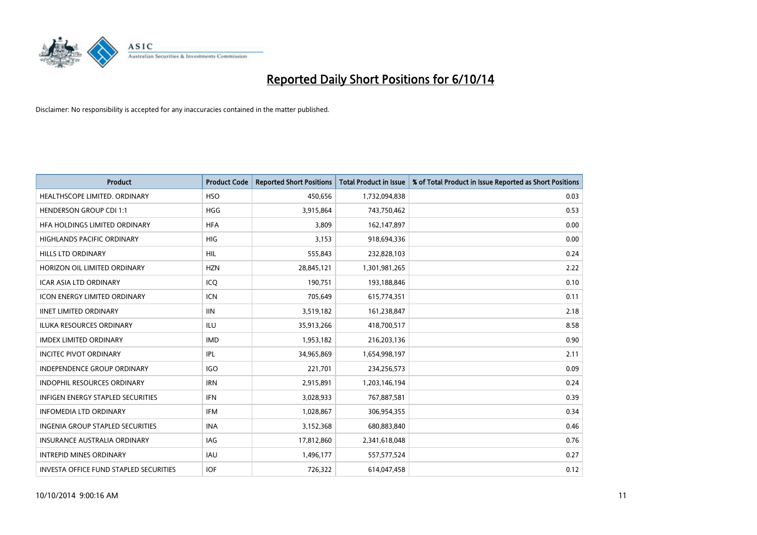

| <b>Product</b>                                | <b>Product Code</b> | <b>Reported Short Positions</b> | <b>Total Product in Issue</b> | % of Total Product in Issue Reported as Short Positions |
|-----------------------------------------------|---------------------|---------------------------------|-------------------------------|---------------------------------------------------------|
| HEALTHSCOPE LIMITED. ORDINARY                 | <b>HSO</b>          | 450,656                         | 1,732,094,838                 | 0.03                                                    |
| <b>HENDERSON GROUP CDI 1:1</b>                | <b>HGG</b>          | 3,915,864                       | 743,750,462                   | 0.53                                                    |
| HFA HOLDINGS LIMITED ORDINARY                 | <b>HFA</b>          | 3,809                           | 162,147,897                   | 0.00                                                    |
| HIGHLANDS PACIFIC ORDINARY                    | <b>HIG</b>          | 3,153                           | 918,694,336                   | 0.00                                                    |
| <b>HILLS LTD ORDINARY</b>                     | <b>HIL</b>          | 555,843                         | 232,828,103                   | 0.24                                                    |
| HORIZON OIL LIMITED ORDINARY                  | <b>HZN</b>          | 28,845,121                      | 1,301,981,265                 | 2.22                                                    |
| <b>ICAR ASIA LTD ORDINARY</b>                 | ICO                 | 190,751                         | 193,188,846                   | 0.10                                                    |
| <b>ICON ENERGY LIMITED ORDINARY</b>           | <b>ICN</b>          | 705,649                         | 615,774,351                   | 0.11                                                    |
| <b>IINET LIMITED ORDINARY</b>                 | <b>IIN</b>          | 3,519,182                       | 161,238,847                   | 2.18                                                    |
| <b>ILUKA RESOURCES ORDINARY</b>               | ILU                 | 35,913,266                      | 418,700,517                   | 8.58                                                    |
| <b>IMDEX LIMITED ORDINARY</b>                 | <b>IMD</b>          | 1,953,182                       | 216,203,136                   | 0.90                                                    |
| <b>INCITEC PIVOT ORDINARY</b>                 | <b>IPL</b>          | 34,965,869                      | 1,654,998,197                 | 2.11                                                    |
| <b>INDEPENDENCE GROUP ORDINARY</b>            | <b>IGO</b>          | 221,701                         | 234,256,573                   | 0.09                                                    |
| <b>INDOPHIL RESOURCES ORDINARY</b>            | <b>IRN</b>          | 2,915,891                       | 1,203,146,194                 | 0.24                                                    |
| <b>INFIGEN ENERGY STAPLED SECURITIES</b>      | <b>IFN</b>          | 3,028,933                       | 767,887,581                   | 0.39                                                    |
| <b>INFOMEDIA LTD ORDINARY</b>                 | <b>IFM</b>          | 1,028,867                       | 306,954,355                   | 0.34                                                    |
| <b>INGENIA GROUP STAPLED SECURITIES</b>       | <b>INA</b>          | 3,152,368                       | 680,883,840                   | 0.46                                                    |
| <b>INSURANCE AUSTRALIA ORDINARY</b>           | <b>IAG</b>          | 17,812,860                      | 2,341,618,048                 | 0.76                                                    |
| <b>INTREPID MINES ORDINARY</b>                | <b>IAU</b>          | 1,496,177                       | 557,577,524                   | 0.27                                                    |
| <b>INVESTA OFFICE FUND STAPLED SECURITIES</b> | <b>IOF</b>          | 726,322                         | 614,047,458                   | 0.12                                                    |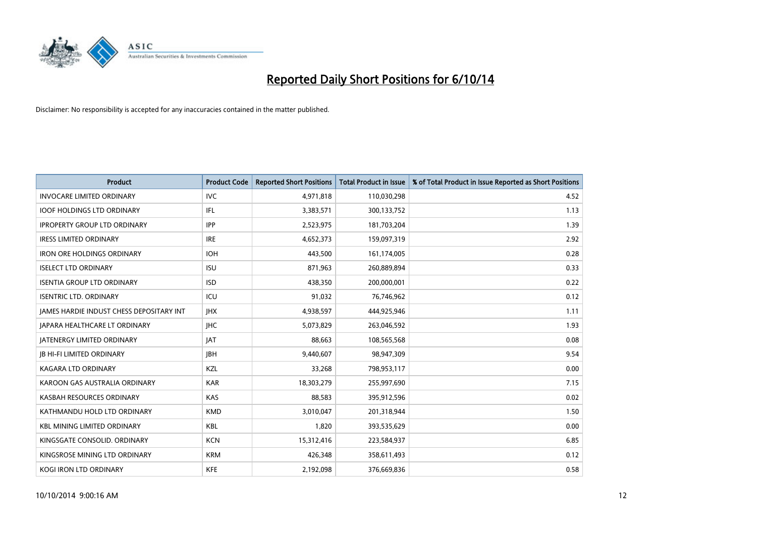

| <b>Product</b>                           | <b>Product Code</b> | <b>Reported Short Positions</b> | <b>Total Product in Issue</b> | % of Total Product in Issue Reported as Short Positions |
|------------------------------------------|---------------------|---------------------------------|-------------------------------|---------------------------------------------------------|
| <b>INVOCARE LIMITED ORDINARY</b>         | <b>IVC</b>          | 4,971,818                       | 110,030,298                   | 4.52                                                    |
| <b>IOOF HOLDINGS LTD ORDINARY</b>        | IFL                 | 3,383,571                       | 300,133,752                   | 1.13                                                    |
| <b>IPROPERTY GROUP LTD ORDINARY</b>      | <b>IPP</b>          | 2,523,975                       | 181,703,204                   | 1.39                                                    |
| <b>IRESS LIMITED ORDINARY</b>            | <b>IRE</b>          | 4,652,373                       | 159,097,319                   | 2.92                                                    |
| <b>IRON ORE HOLDINGS ORDINARY</b>        | <b>IOH</b>          | 443,500                         | 161,174,005                   | 0.28                                                    |
| <b>ISELECT LTD ORDINARY</b>              | <b>ISU</b>          | 871,963                         | 260,889,894                   | 0.33                                                    |
| <b>ISENTIA GROUP LTD ORDINARY</b>        | <b>ISD</b>          | 438,350                         | 200,000,001                   | 0.22                                                    |
| <b>ISENTRIC LTD. ORDINARY</b>            | ICU                 | 91,032                          | 76,746,962                    | 0.12                                                    |
| JAMES HARDIE INDUST CHESS DEPOSITARY INT | <b>IHX</b>          | 4,938,597                       | 444,925,946                   | 1.11                                                    |
| JAPARA HEALTHCARE LT ORDINARY            | <b>IHC</b>          | 5,073,829                       | 263,046,592                   | 1.93                                                    |
| <b>JATENERGY LIMITED ORDINARY</b>        | <b>JAT</b>          | 88,663                          | 108,565,568                   | 0.08                                                    |
| <b>IB HI-FI LIMITED ORDINARY</b>         | <b>IBH</b>          | 9,440,607                       | 98,947,309                    | 9.54                                                    |
| <b>KAGARA LTD ORDINARY</b>               | KZL                 | 33,268                          | 798,953,117                   | 0.00                                                    |
| KAROON GAS AUSTRALIA ORDINARY            | <b>KAR</b>          | 18,303,279                      | 255,997,690                   | 7.15                                                    |
| KASBAH RESOURCES ORDINARY                | <b>KAS</b>          | 88,583                          | 395,912,596                   | 0.02                                                    |
| KATHMANDU HOLD LTD ORDINARY              | <b>KMD</b>          | 3,010,047                       | 201,318,944                   | 1.50                                                    |
| <b>KBL MINING LIMITED ORDINARY</b>       | KBL                 | 1,820                           | 393,535,629                   | 0.00                                                    |
| KINGSGATE CONSOLID. ORDINARY             | <b>KCN</b>          | 15,312,416                      | 223,584,937                   | 6.85                                                    |
| KINGSROSE MINING LTD ORDINARY            | <b>KRM</b>          | 426,348                         | 358,611,493                   | 0.12                                                    |
| KOGI IRON LTD ORDINARY                   | <b>KFE</b>          | 2,192,098                       | 376,669,836                   | 0.58                                                    |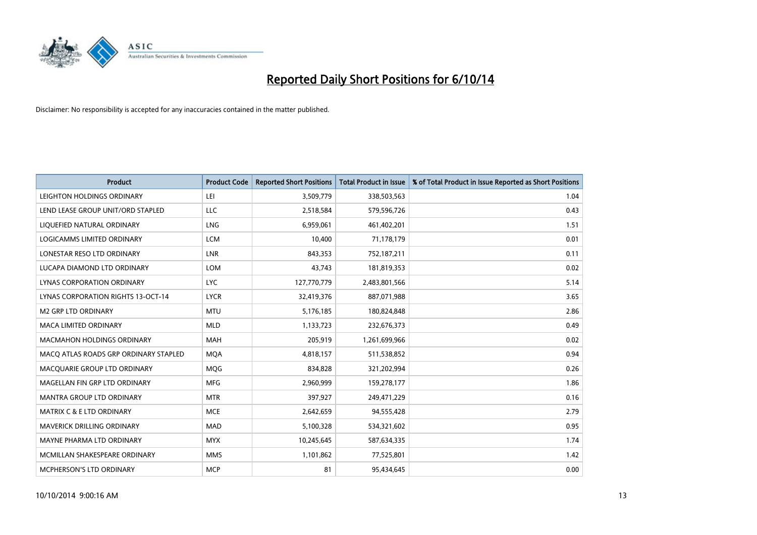

| <b>Product</b>                        | <b>Product Code</b> | <b>Reported Short Positions</b> | <b>Total Product in Issue</b> | % of Total Product in Issue Reported as Short Positions |
|---------------------------------------|---------------------|---------------------------------|-------------------------------|---------------------------------------------------------|
| LEIGHTON HOLDINGS ORDINARY            | LEI                 | 3,509,779                       | 338,503,563                   | 1.04                                                    |
| LEND LEASE GROUP UNIT/ORD STAPLED     | LLC                 | 2,518,584                       | 579,596,726                   | 0.43                                                    |
| LIQUEFIED NATURAL ORDINARY            | <b>LNG</b>          | 6,959,061                       | 461,402,201                   | 1.51                                                    |
| LOGICAMMS LIMITED ORDINARY            | <b>LCM</b>          | 10,400                          | 71,178,179                    | 0.01                                                    |
| LONESTAR RESO LTD ORDINARY            | <b>LNR</b>          | 843,353                         | 752,187,211                   | 0.11                                                    |
| LUCAPA DIAMOND LTD ORDINARY           | <b>LOM</b>          | 43,743                          | 181,819,353                   | 0.02                                                    |
| LYNAS CORPORATION ORDINARY            | <b>LYC</b>          | 127,770,779                     | 2,483,801,566                 | 5.14                                                    |
| LYNAS CORPORATION RIGHTS 13-OCT-14    | <b>LYCR</b>         | 32,419,376                      | 887,071,988                   | 3.65                                                    |
| <b>M2 GRP LTD ORDINARY</b>            | <b>MTU</b>          | 5,176,185                       | 180,824,848                   | 2.86                                                    |
| <b>MACA LIMITED ORDINARY</b>          | <b>MLD</b>          | 1,133,723                       | 232,676,373                   | 0.49                                                    |
| MACMAHON HOLDINGS ORDINARY            | MAH                 | 205,919                         | 1,261,699,966                 | 0.02                                                    |
| MACO ATLAS ROADS GRP ORDINARY STAPLED | <b>MQA</b>          | 4,818,157                       | 511,538,852                   | 0.94                                                    |
| MACQUARIE GROUP LTD ORDINARY          | <b>MOG</b>          | 834,828                         | 321,202,994                   | 0.26                                                    |
| MAGELLAN FIN GRP LTD ORDINARY         | <b>MFG</b>          | 2,960,999                       | 159,278,177                   | 1.86                                                    |
| <b>MANTRA GROUP LTD ORDINARY</b>      | <b>MTR</b>          | 397,927                         | 249,471,229                   | 0.16                                                    |
| MATRIX C & E LTD ORDINARY             | <b>MCE</b>          | 2,642,659                       | 94,555,428                    | 2.79                                                    |
| MAVERICK DRILLING ORDINARY            | MAD                 | 5,100,328                       | 534,321,602                   | 0.95                                                    |
| MAYNE PHARMA LTD ORDINARY             | <b>MYX</b>          | 10,245,645                      | 587,634,335                   | 1.74                                                    |
| MCMILLAN SHAKESPEARE ORDINARY         | <b>MMS</b>          | 1,101,862                       | 77,525,801                    | 1.42                                                    |
| MCPHERSON'S LTD ORDINARY              | <b>MCP</b>          | 81                              | 95,434,645                    | 0.00                                                    |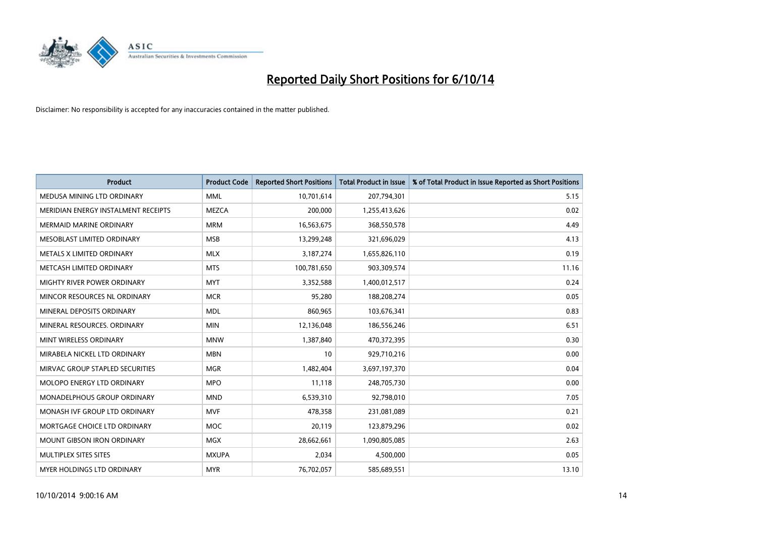

| <b>Product</b>                      | <b>Product Code</b> | <b>Reported Short Positions</b> | <b>Total Product in Issue</b> | % of Total Product in Issue Reported as Short Positions |
|-------------------------------------|---------------------|---------------------------------|-------------------------------|---------------------------------------------------------|
| MEDUSA MINING LTD ORDINARY          | <b>MML</b>          | 10,701,614                      | 207,794,301                   | 5.15                                                    |
| MERIDIAN ENERGY INSTALMENT RECEIPTS | <b>MEZCA</b>        | 200,000                         | 1,255,413,626                 | 0.02                                                    |
| <b>MERMAID MARINE ORDINARY</b>      | <b>MRM</b>          | 16,563,675                      | 368,550,578                   | 4.49                                                    |
| MESOBLAST LIMITED ORDINARY          | <b>MSB</b>          | 13,299,248                      | 321,696,029                   | 4.13                                                    |
| METALS X LIMITED ORDINARY           | <b>MLX</b>          | 3,187,274                       | 1,655,826,110                 | 0.19                                                    |
| METCASH LIMITED ORDINARY            | <b>MTS</b>          | 100,781,650                     | 903,309,574                   | 11.16                                                   |
| MIGHTY RIVER POWER ORDINARY         | <b>MYT</b>          | 3,352,588                       | 1,400,012,517                 | 0.24                                                    |
| MINCOR RESOURCES NL ORDINARY        | <b>MCR</b>          | 95,280                          | 188,208,274                   | 0.05                                                    |
| MINERAL DEPOSITS ORDINARY           | <b>MDL</b>          | 860,965                         | 103,676,341                   | 0.83                                                    |
| MINERAL RESOURCES, ORDINARY         | <b>MIN</b>          | 12,136,048                      | 186,556,246                   | 6.51                                                    |
| MINT WIRELESS ORDINARY              | <b>MNW</b>          | 1,387,840                       | 470,372,395                   | 0.30                                                    |
| MIRABELA NICKEL LTD ORDINARY        | <b>MBN</b>          | 10                              | 929,710,216                   | 0.00                                                    |
| MIRVAC GROUP STAPLED SECURITIES     | <b>MGR</b>          | 1,482,404                       | 3,697,197,370                 | 0.04                                                    |
| MOLOPO ENERGY LTD ORDINARY          | <b>MPO</b>          | 11,118                          | 248,705,730                   | 0.00                                                    |
| MONADELPHOUS GROUP ORDINARY         | <b>MND</b>          | 6,539,310                       | 92,798,010                    | 7.05                                                    |
| MONASH IVF GROUP LTD ORDINARY       | <b>MVF</b>          | 478,358                         | 231,081,089                   | 0.21                                                    |
| MORTGAGE CHOICE LTD ORDINARY        | <b>MOC</b>          | 20,119                          | 123,879,296                   | 0.02                                                    |
| <b>MOUNT GIBSON IRON ORDINARY</b>   | <b>MGX</b>          | 28,662,661                      | 1,090,805,085                 | 2.63                                                    |
| MULTIPLEX SITES SITES               | <b>MXUPA</b>        | 2,034                           | 4,500,000                     | 0.05                                                    |
| MYER HOLDINGS LTD ORDINARY          | <b>MYR</b>          | 76,702,057                      | 585,689,551                   | 13.10                                                   |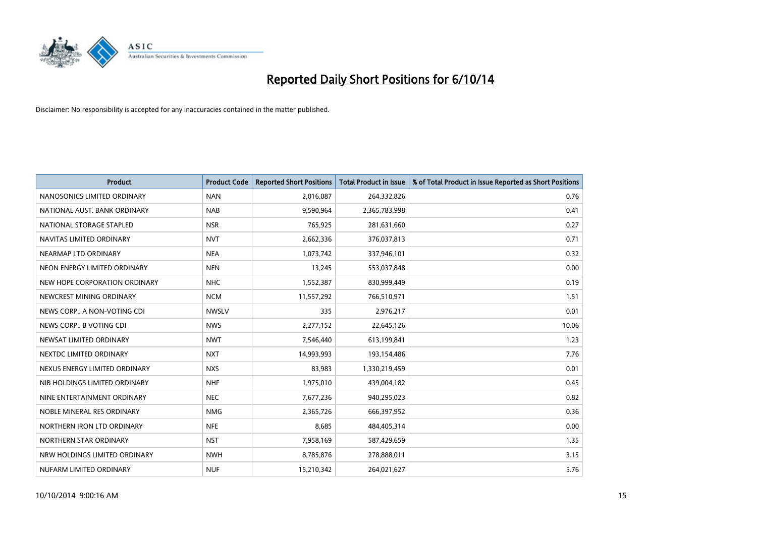

| <b>Product</b>                | <b>Product Code</b> | <b>Reported Short Positions</b> | <b>Total Product in Issue</b> | % of Total Product in Issue Reported as Short Positions |
|-------------------------------|---------------------|---------------------------------|-------------------------------|---------------------------------------------------------|
| NANOSONICS LIMITED ORDINARY   | <b>NAN</b>          | 2,016,087                       | 264,332,826                   | 0.76                                                    |
| NATIONAL AUST. BANK ORDINARY  | <b>NAB</b>          | 9,590,964                       | 2,365,783,998                 | 0.41                                                    |
| NATIONAL STORAGE STAPLED      | <b>NSR</b>          | 765,925                         | 281,631,660                   | 0.27                                                    |
| NAVITAS LIMITED ORDINARY      | <b>NVT</b>          | 2,662,336                       | 376,037,813                   | 0.71                                                    |
| NEARMAP LTD ORDINARY          | <b>NEA</b>          | 1,073,742                       | 337,946,101                   | 0.32                                                    |
| NEON ENERGY LIMITED ORDINARY  | <b>NEN</b>          | 13,245                          | 553,037,848                   | 0.00                                                    |
| NEW HOPE CORPORATION ORDINARY | <b>NHC</b>          | 1,552,387                       | 830,999,449                   | 0.19                                                    |
| NEWCREST MINING ORDINARY      | <b>NCM</b>          | 11,557,292                      | 766,510,971                   | 1.51                                                    |
| NEWS CORP A NON-VOTING CDI    | <b>NWSLV</b>        | 335                             | 2,976,217                     | 0.01                                                    |
| NEWS CORP B VOTING CDI        | <b>NWS</b>          | 2,277,152                       | 22,645,126                    | 10.06                                                   |
| NEWSAT LIMITED ORDINARY       | <b>NWT</b>          | 7,546,440                       | 613,199,841                   | 1.23                                                    |
| NEXTDC LIMITED ORDINARY       | <b>NXT</b>          | 14,993,993                      | 193,154,486                   | 7.76                                                    |
| NEXUS ENERGY LIMITED ORDINARY | <b>NXS</b>          | 83,983                          | 1,330,219,459                 | 0.01                                                    |
| NIB HOLDINGS LIMITED ORDINARY | <b>NHF</b>          | 1,975,010                       | 439,004,182                   | 0.45                                                    |
| NINE ENTERTAINMENT ORDINARY   | <b>NEC</b>          | 7,677,236                       | 940,295,023                   | 0.82                                                    |
| NOBLE MINERAL RES ORDINARY    | <b>NMG</b>          | 2,365,726                       | 666,397,952                   | 0.36                                                    |
| NORTHERN IRON LTD ORDINARY    | <b>NFE</b>          | 8,685                           | 484,405,314                   | 0.00                                                    |
| NORTHERN STAR ORDINARY        | <b>NST</b>          | 7,958,169                       | 587,429,659                   | 1.35                                                    |
| NRW HOLDINGS LIMITED ORDINARY | <b>NWH</b>          | 8,785,876                       | 278,888,011                   | 3.15                                                    |
| NUFARM LIMITED ORDINARY       | <b>NUF</b>          | 15,210,342                      | 264,021,627                   | 5.76                                                    |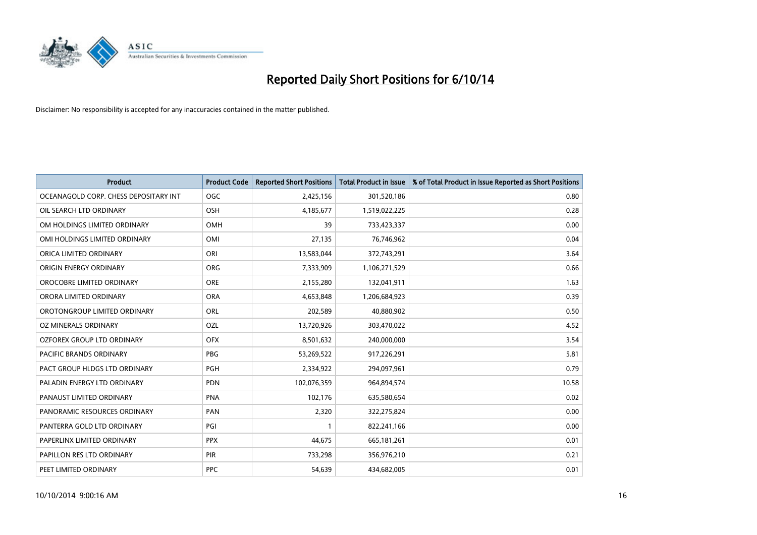

| <b>Product</b>                        | <b>Product Code</b> | <b>Reported Short Positions</b> | <b>Total Product in Issue</b> | % of Total Product in Issue Reported as Short Positions |
|---------------------------------------|---------------------|---------------------------------|-------------------------------|---------------------------------------------------------|
| OCEANAGOLD CORP. CHESS DEPOSITARY INT | <b>OGC</b>          | 2,425,156                       | 301,520,186                   | 0.80                                                    |
| OIL SEARCH LTD ORDINARY               | <b>OSH</b>          | 4,185,677                       | 1,519,022,225                 | 0.28                                                    |
| OM HOLDINGS LIMITED ORDINARY          | OMH                 | 39                              | 733,423,337                   | 0.00                                                    |
| OMI HOLDINGS LIMITED ORDINARY         | OMI                 | 27,135                          | 76,746,962                    | 0.04                                                    |
| ORICA LIMITED ORDINARY                | ORI                 | 13,583,044                      | 372,743,291                   | 3.64                                                    |
| ORIGIN ENERGY ORDINARY                | <b>ORG</b>          | 7,333,909                       | 1,106,271,529                 | 0.66                                                    |
| OROCOBRE LIMITED ORDINARY             | <b>ORE</b>          | 2,155,280                       | 132,041,911                   | 1.63                                                    |
| ORORA LIMITED ORDINARY                | <b>ORA</b>          | 4,653,848                       | 1,206,684,923                 | 0.39                                                    |
| OROTONGROUP LIMITED ORDINARY          | ORL                 | 202,589                         | 40,880,902                    | 0.50                                                    |
| <b>OZ MINERALS ORDINARY</b>           | <b>OZL</b>          | 13,720,926                      | 303,470,022                   | 4.52                                                    |
| OZFOREX GROUP LTD ORDINARY            | <b>OFX</b>          | 8,501,632                       | 240,000,000                   | 3.54                                                    |
| PACIFIC BRANDS ORDINARY               | <b>PBG</b>          | 53,269,522                      | 917,226,291                   | 5.81                                                    |
| PACT GROUP HLDGS LTD ORDINARY         | PGH                 | 2,334,922                       | 294,097,961                   | 0.79                                                    |
| PALADIN ENERGY LTD ORDINARY           | <b>PDN</b>          | 102,076,359                     | 964,894,574                   | 10.58                                                   |
| PANAUST LIMITED ORDINARY              | <b>PNA</b>          | 102,176                         | 635,580,654                   | 0.02                                                    |
| PANORAMIC RESOURCES ORDINARY          | PAN                 | 2,320                           | 322,275,824                   | 0.00                                                    |
| PANTERRA GOLD LTD ORDINARY            | PGI                 | $\mathbf{1}$                    | 822,241,166                   | 0.00                                                    |
| PAPERLINX LIMITED ORDINARY            | <b>PPX</b>          | 44,675                          | 665,181,261                   | 0.01                                                    |
| PAPILLON RES LTD ORDINARY             | PIR                 | 733,298                         | 356,976,210                   | 0.21                                                    |
| PEET LIMITED ORDINARY                 | <b>PPC</b>          | 54,639                          | 434,682,005                   | 0.01                                                    |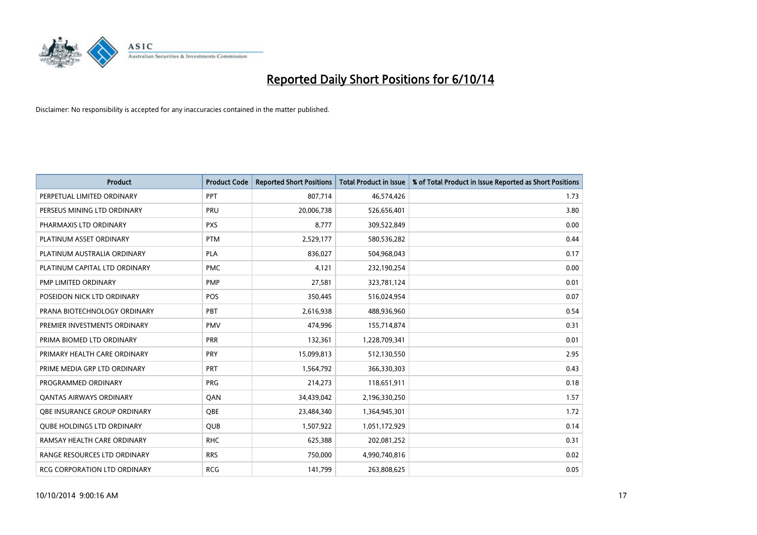

| <b>Product</b>                    | <b>Product Code</b> | <b>Reported Short Positions</b> | <b>Total Product in Issue</b> | % of Total Product in Issue Reported as Short Positions |
|-----------------------------------|---------------------|---------------------------------|-------------------------------|---------------------------------------------------------|
| PERPETUAL LIMITED ORDINARY        | PPT                 | 807,714                         | 46,574,426                    | 1.73                                                    |
| PERSEUS MINING LTD ORDINARY       | PRU                 | 20,006,738                      | 526,656,401                   | 3.80                                                    |
| PHARMAXIS LTD ORDINARY            | <b>PXS</b>          | 8,777                           | 309,522,849                   | 0.00                                                    |
| PLATINUM ASSET ORDINARY           | <b>PTM</b>          | 2,529,177                       | 580,536,282                   | 0.44                                                    |
| PLATINUM AUSTRALIA ORDINARY       | <b>PLA</b>          | 836,027                         | 504,968,043                   | 0.17                                                    |
| PLATINUM CAPITAL LTD ORDINARY     | <b>PMC</b>          | 4,121                           | 232,190,254                   | 0.00                                                    |
| PMP LIMITED ORDINARY              | <b>PMP</b>          | 27,581                          | 323,781,124                   | 0.01                                                    |
| POSEIDON NICK LTD ORDINARY        | <b>POS</b>          | 350,445                         | 516,024,954                   | 0.07                                                    |
| PRANA BIOTECHNOLOGY ORDINARY      | <b>PBT</b>          | 2,616,938                       | 488,936,960                   | 0.54                                                    |
| PREMIER INVESTMENTS ORDINARY      | <b>PMV</b>          | 474,996                         | 155,714,874                   | 0.31                                                    |
| PRIMA BIOMED LTD ORDINARY         | <b>PRR</b>          | 132,361                         | 1,228,709,341                 | 0.01                                                    |
| PRIMARY HEALTH CARE ORDINARY      | <b>PRY</b>          | 15,099,813                      | 512,130,550                   | 2.95                                                    |
| PRIME MEDIA GRP LTD ORDINARY      | <b>PRT</b>          | 1,564,792                       | 366,330,303                   | 0.43                                                    |
| PROGRAMMED ORDINARY               | <b>PRG</b>          | 214,273                         | 118,651,911                   | 0.18                                                    |
| <b>QANTAS AIRWAYS ORDINARY</b>    | QAN                 | 34,439,042                      | 2,196,330,250                 | 1.57                                                    |
| OBE INSURANCE GROUP ORDINARY      | <b>OBE</b>          | 23,484,340                      | 1,364,945,301                 | 1.72                                                    |
| <b>QUBE HOLDINGS LTD ORDINARY</b> | <b>QUB</b>          | 1,507,922                       | 1,051,172,929                 | 0.14                                                    |
| RAMSAY HEALTH CARE ORDINARY       | <b>RHC</b>          | 625,388                         | 202,081,252                   | 0.31                                                    |
| RANGE RESOURCES LTD ORDINARY      | <b>RRS</b>          | 750,000                         | 4,990,740,816                 | 0.02                                                    |
| RCG CORPORATION LTD ORDINARY      | <b>RCG</b>          | 141,799                         | 263,808,625                   | 0.05                                                    |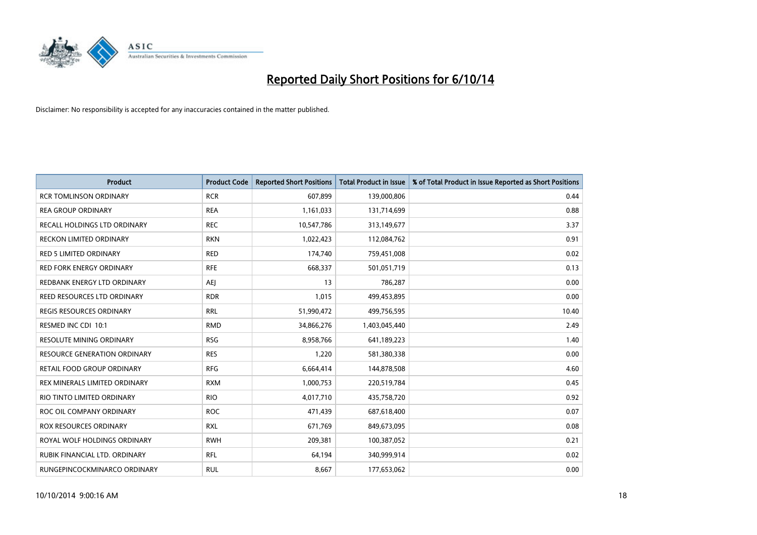

| <b>Product</b>                      | <b>Product Code</b> | <b>Reported Short Positions</b> | <b>Total Product in Issue</b> | % of Total Product in Issue Reported as Short Positions |
|-------------------------------------|---------------------|---------------------------------|-------------------------------|---------------------------------------------------------|
| <b>RCR TOMLINSON ORDINARY</b>       | <b>RCR</b>          | 607,899                         | 139,000,806                   | 0.44                                                    |
| <b>REA GROUP ORDINARY</b>           | <b>REA</b>          | 1,161,033                       | 131,714,699                   | 0.88                                                    |
| RECALL HOLDINGS LTD ORDINARY        | <b>REC</b>          | 10,547,786                      | 313,149,677                   | 3.37                                                    |
| RECKON LIMITED ORDINARY             | <b>RKN</b>          | 1,022,423                       | 112,084,762                   | 0.91                                                    |
| <b>RED 5 LIMITED ORDINARY</b>       | <b>RED</b>          | 174,740                         | 759,451,008                   | 0.02                                                    |
| <b>RED FORK ENERGY ORDINARY</b>     | <b>RFE</b>          | 668,337                         | 501,051,719                   | 0.13                                                    |
| REDBANK ENERGY LTD ORDINARY         | AEJ                 | 13                              | 786,287                       | 0.00                                                    |
| REED RESOURCES LTD ORDINARY         | <b>RDR</b>          | 1,015                           | 499,453,895                   | 0.00                                                    |
| <b>REGIS RESOURCES ORDINARY</b>     | <b>RRL</b>          | 51,990,472                      | 499,756,595                   | 10.40                                                   |
| RESMED INC CDI 10:1                 | <b>RMD</b>          | 34,866,276                      | 1,403,045,440                 | 2.49                                                    |
| RESOLUTE MINING ORDINARY            | <b>RSG</b>          | 8,958,766                       | 641,189,223                   | 1.40                                                    |
| <b>RESOURCE GENERATION ORDINARY</b> | <b>RES</b>          | 1,220                           | 581,380,338                   | 0.00                                                    |
| RETAIL FOOD GROUP ORDINARY          | <b>RFG</b>          | 6,664,414                       | 144,878,508                   | 4.60                                                    |
| REX MINERALS LIMITED ORDINARY       | <b>RXM</b>          | 1,000,753                       | 220,519,784                   | 0.45                                                    |
| RIO TINTO LIMITED ORDINARY          | <b>RIO</b>          | 4,017,710                       | 435,758,720                   | 0.92                                                    |
| ROC OIL COMPANY ORDINARY            | <b>ROC</b>          | 471,439                         | 687,618,400                   | 0.07                                                    |
| ROX RESOURCES ORDINARY              | <b>RXL</b>          | 671,769                         | 849,673,095                   | 0.08                                                    |
| ROYAL WOLF HOLDINGS ORDINARY        | <b>RWH</b>          | 209,381                         | 100,387,052                   | 0.21                                                    |
| RUBIK FINANCIAL LTD. ORDINARY       | <b>RFL</b>          | 64,194                          | 340,999,914                   | 0.02                                                    |
| RUNGEPINCOCKMINARCO ORDINARY        | <b>RUL</b>          | 8,667                           | 177,653,062                   | 0.00                                                    |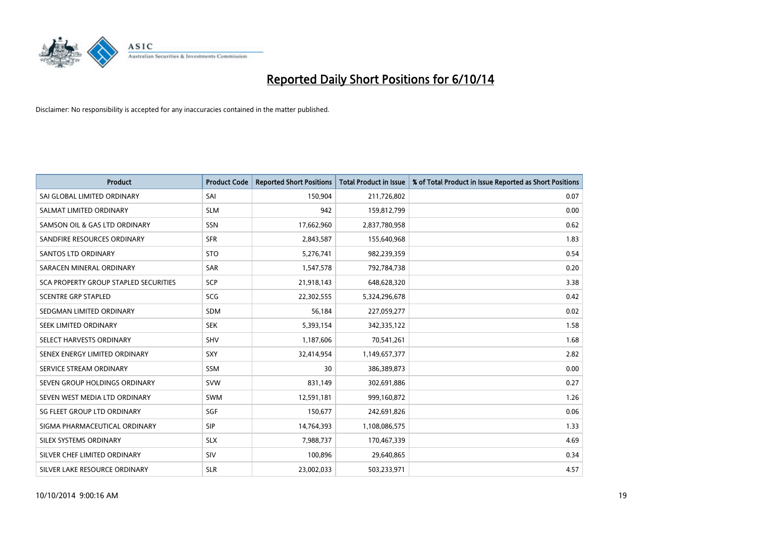

| <b>Product</b>                        | <b>Product Code</b> | <b>Reported Short Positions</b> | <b>Total Product in Issue</b> | % of Total Product in Issue Reported as Short Positions |
|---------------------------------------|---------------------|---------------------------------|-------------------------------|---------------------------------------------------------|
| SAI GLOBAL LIMITED ORDINARY           | SAI                 | 150,904                         | 211,726,802                   | 0.07                                                    |
| SALMAT LIMITED ORDINARY               | <b>SLM</b>          | 942                             | 159,812,799                   | 0.00                                                    |
| SAMSON OIL & GAS LTD ORDINARY         | SSN                 | 17,662,960                      | 2,837,780,958                 | 0.62                                                    |
| SANDFIRE RESOURCES ORDINARY           | <b>SFR</b>          | 2,843,587                       | 155,640,968                   | 1.83                                                    |
| SANTOS LTD ORDINARY                   | <b>STO</b>          | 5,276,741                       | 982,239,359                   | 0.54                                                    |
| SARACEN MINERAL ORDINARY              | SAR                 | 1,547,578                       | 792,784,738                   | 0.20                                                    |
| SCA PROPERTY GROUP STAPLED SECURITIES | <b>SCP</b>          | 21,918,143                      | 648,628,320                   | 3.38                                                    |
| <b>SCENTRE GRP STAPLED</b>            | SCG                 | 22,302,555                      | 5,324,296,678                 | 0.42                                                    |
| SEDGMAN LIMITED ORDINARY              | <b>SDM</b>          | 56,184                          | 227,059,277                   | 0.02                                                    |
| SEEK LIMITED ORDINARY                 | <b>SEK</b>          | 5,393,154                       | 342,335,122                   | 1.58                                                    |
| SELECT HARVESTS ORDINARY              | SHV                 | 1,187,606                       | 70,541,261                    | 1.68                                                    |
| SENEX ENERGY LIMITED ORDINARY         | <b>SXY</b>          | 32,414,954                      | 1,149,657,377                 | 2.82                                                    |
| SERVICE STREAM ORDINARY               | SSM                 | 30                              | 386,389,873                   | 0.00                                                    |
| SEVEN GROUP HOLDINGS ORDINARY         | <b>SVW</b>          | 831,149                         | 302,691,886                   | 0.27                                                    |
| SEVEN WEST MEDIA LTD ORDINARY         | <b>SWM</b>          | 12,591,181                      | 999,160,872                   | 1.26                                                    |
| SG FLEET GROUP LTD ORDINARY           | SGF                 | 150,677                         | 242,691,826                   | 0.06                                                    |
| SIGMA PHARMACEUTICAL ORDINARY         | <b>SIP</b>          | 14,764,393                      | 1,108,086,575                 | 1.33                                                    |
| SILEX SYSTEMS ORDINARY                | <b>SLX</b>          | 7,988,737                       | 170,467,339                   | 4.69                                                    |
| SILVER CHEF LIMITED ORDINARY          | <b>SIV</b>          | 100,896                         | 29,640,865                    | 0.34                                                    |
| SILVER LAKE RESOURCE ORDINARY         | <b>SLR</b>          | 23,002,033                      | 503,233,971                   | 4.57                                                    |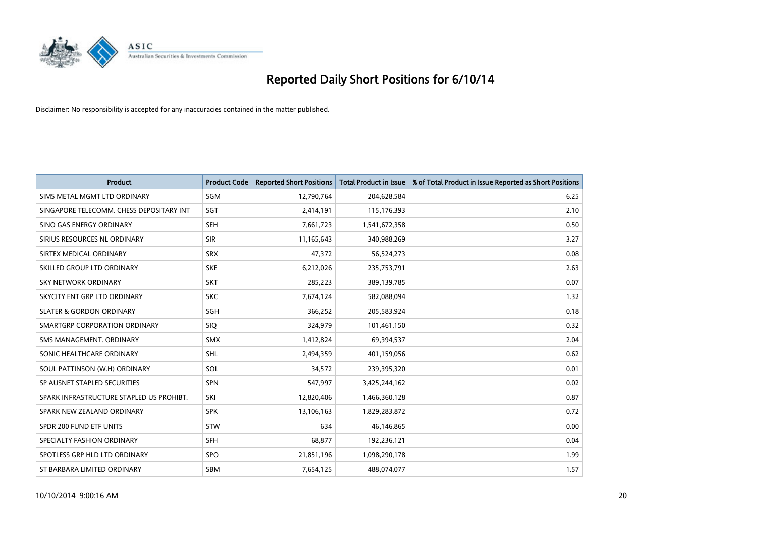

| <b>Product</b>                           | <b>Product Code</b> | <b>Reported Short Positions</b> | <b>Total Product in Issue</b> | % of Total Product in Issue Reported as Short Positions |
|------------------------------------------|---------------------|---------------------------------|-------------------------------|---------------------------------------------------------|
| SIMS METAL MGMT LTD ORDINARY             | SGM                 | 12,790,764                      | 204,628,584                   | 6.25                                                    |
| SINGAPORE TELECOMM. CHESS DEPOSITARY INT | SGT                 | 2,414,191                       | 115,176,393                   | 2.10                                                    |
| SINO GAS ENERGY ORDINARY                 | <b>SEH</b>          | 7,661,723                       | 1,541,672,358                 | 0.50                                                    |
| SIRIUS RESOURCES NL ORDINARY             | <b>SIR</b>          | 11,165,643                      | 340,988,269                   | 3.27                                                    |
| SIRTEX MEDICAL ORDINARY                  | <b>SRX</b>          | 47,372                          | 56,524,273                    | 0.08                                                    |
| SKILLED GROUP LTD ORDINARY               | <b>SKE</b>          | 6,212,026                       | 235,753,791                   | 2.63                                                    |
| SKY NETWORK ORDINARY                     | <b>SKT</b>          | 285,223                         | 389,139,785                   | 0.07                                                    |
| SKYCITY ENT GRP LTD ORDINARY             | <b>SKC</b>          | 7,674,124                       | 582,088,094                   | 1.32                                                    |
| <b>SLATER &amp; GORDON ORDINARY</b>      | SGH                 | 366,252                         | 205,583,924                   | 0.18                                                    |
| SMARTGRP CORPORATION ORDINARY            | <b>SIQ</b>          | 324,979                         | 101,461,150                   | 0.32                                                    |
| SMS MANAGEMENT. ORDINARY                 | <b>SMX</b>          | 1,412,824                       | 69,394,537                    | 2.04                                                    |
| SONIC HEALTHCARE ORDINARY                | <b>SHL</b>          | 2,494,359                       | 401,159,056                   | 0.62                                                    |
| SOUL PATTINSON (W.H) ORDINARY            | SOL                 | 34,572                          | 239,395,320                   | 0.01                                                    |
| SP AUSNET STAPLED SECURITIES             | <b>SPN</b>          | 547,997                         | 3,425,244,162                 | 0.02                                                    |
| SPARK INFRASTRUCTURE STAPLED US PROHIBT. | SKI                 | 12,820,406                      | 1,466,360,128                 | 0.87                                                    |
| SPARK NEW ZEALAND ORDINARY               | <b>SPK</b>          | 13,106,163                      | 1,829,283,872                 | 0.72                                                    |
| SPDR 200 FUND ETF UNITS                  | <b>STW</b>          | 634                             | 46,146,865                    | 0.00                                                    |
| SPECIALTY FASHION ORDINARY               | <b>SFH</b>          | 68.877                          | 192,236,121                   | 0.04                                                    |
| SPOTLESS GRP HLD LTD ORDINARY            | <b>SPO</b>          | 21,851,196                      | 1,098,290,178                 | 1.99                                                    |
| ST BARBARA LIMITED ORDINARY              | <b>SBM</b>          | 7,654,125                       | 488,074,077                   | 1.57                                                    |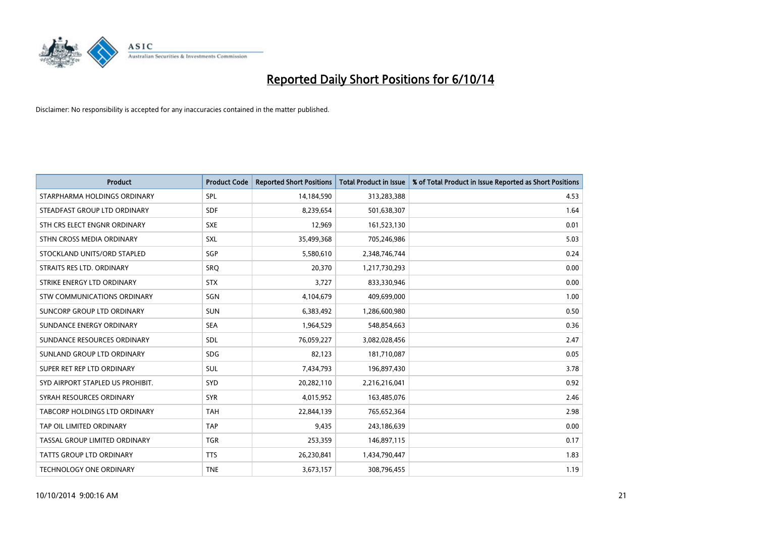

| <b>Product</b>                   | <b>Product Code</b> | <b>Reported Short Positions</b> | <b>Total Product in Issue</b> | % of Total Product in Issue Reported as Short Positions |
|----------------------------------|---------------------|---------------------------------|-------------------------------|---------------------------------------------------------|
| STARPHARMA HOLDINGS ORDINARY     | <b>SPL</b>          | 14,184,590                      | 313,283,388                   | 4.53                                                    |
| STEADFAST GROUP LTD ORDINARY     | <b>SDF</b>          | 8,239,654                       | 501,638,307                   | 1.64                                                    |
| STH CRS ELECT ENGNR ORDINARY     | <b>SXE</b>          | 12,969                          | 161,523,130                   | 0.01                                                    |
| STHN CROSS MEDIA ORDINARY        | SXL                 | 35,499,368                      | 705,246,986                   | 5.03                                                    |
| STOCKLAND UNITS/ORD STAPLED      | SGP                 | 5,580,610                       | 2,348,746,744                 | 0.24                                                    |
| STRAITS RES LTD. ORDINARY        | SRO                 | 20,370                          | 1,217,730,293                 | 0.00                                                    |
| STRIKE ENERGY LTD ORDINARY       | <b>STX</b>          | 3,727                           | 833,330,946                   | 0.00                                                    |
| STW COMMUNICATIONS ORDINARY      | SGN                 | 4,104,679                       | 409,699,000                   | 1.00                                                    |
| SUNCORP GROUP LTD ORDINARY       | <b>SUN</b>          | 6,383,492                       | 1,286,600,980                 | 0.50                                                    |
| SUNDANCE ENERGY ORDINARY         | <b>SEA</b>          | 1,964,529                       | 548,854,663                   | 0.36                                                    |
| SUNDANCE RESOURCES ORDINARY      | <b>SDL</b>          | 76,059,227                      | 3,082,028,456                 | 2.47                                                    |
| SUNLAND GROUP LTD ORDINARY       | <b>SDG</b>          | 82,123                          | 181,710,087                   | 0.05                                                    |
| SUPER RET REP LTD ORDINARY       | SUL                 | 7,434,793                       | 196,897,430                   | 3.78                                                    |
| SYD AIRPORT STAPLED US PROHIBIT. | <b>SYD</b>          | 20,282,110                      | 2,216,216,041                 | 0.92                                                    |
| SYRAH RESOURCES ORDINARY         | <b>SYR</b>          | 4,015,952                       | 163,485,076                   | 2.46                                                    |
| TABCORP HOLDINGS LTD ORDINARY    | <b>TAH</b>          | 22,844,139                      | 765,652,364                   | 2.98                                                    |
| TAP OIL LIMITED ORDINARY         | <b>TAP</b>          | 9,435                           | 243,186,639                   | 0.00                                                    |
| TASSAL GROUP LIMITED ORDINARY    | <b>TGR</b>          | 253,359                         | 146,897,115                   | 0.17                                                    |
| <b>TATTS GROUP LTD ORDINARY</b>  | <b>TTS</b>          | 26,230,841                      | 1,434,790,447                 | 1.83                                                    |
| TECHNOLOGY ONE ORDINARY          | <b>TNE</b>          | 3,673,157                       | 308,796,455                   | 1.19                                                    |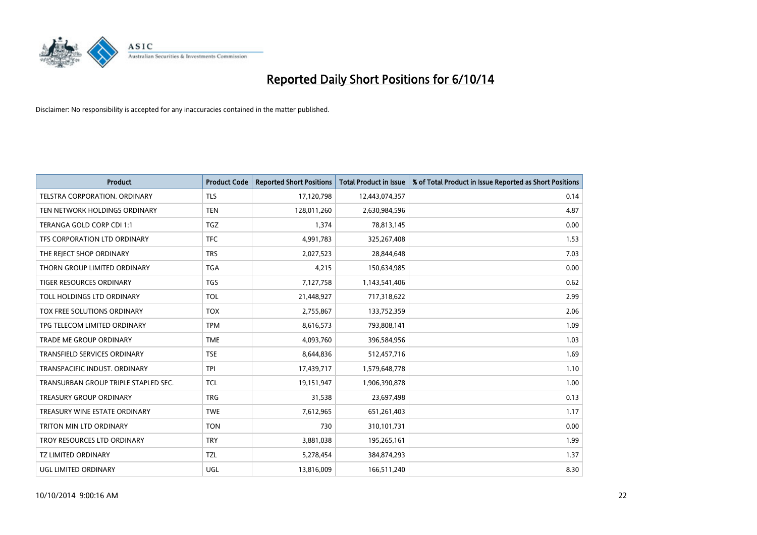

| <b>Product</b>                       | <b>Product Code</b> | <b>Reported Short Positions</b> | <b>Total Product in Issue</b> | % of Total Product in Issue Reported as Short Positions |
|--------------------------------------|---------------------|---------------------------------|-------------------------------|---------------------------------------------------------|
| <b>TELSTRA CORPORATION, ORDINARY</b> | <b>TLS</b>          | 17,120,798                      | 12,443,074,357                | 0.14                                                    |
| TEN NETWORK HOLDINGS ORDINARY        | <b>TEN</b>          | 128,011,260                     | 2,630,984,596                 | 4.87                                                    |
| TERANGA GOLD CORP CDI 1:1            | TGZ                 | 1,374                           | 78,813,145                    | 0.00                                                    |
| TFS CORPORATION LTD ORDINARY         | <b>TFC</b>          | 4,991,783                       | 325,267,408                   | 1.53                                                    |
| THE REJECT SHOP ORDINARY             | <b>TRS</b>          | 2,027,523                       | 28,844,648                    | 7.03                                                    |
| THORN GROUP LIMITED ORDINARY         | <b>TGA</b>          | 4,215                           | 150,634,985                   | 0.00                                                    |
| <b>TIGER RESOURCES ORDINARY</b>      | <b>TGS</b>          | 7,127,758                       | 1,143,541,406                 | 0.62                                                    |
| TOLL HOLDINGS LTD ORDINARY           | <b>TOL</b>          | 21,448,927                      | 717,318,622                   | 2.99                                                    |
| TOX FREE SOLUTIONS ORDINARY          | <b>TOX</b>          | 2,755,867                       | 133,752,359                   | 2.06                                                    |
| TPG TELECOM LIMITED ORDINARY         | <b>TPM</b>          | 8,616,573                       | 793,808,141                   | 1.09                                                    |
| <b>TRADE ME GROUP ORDINARY</b>       | <b>TME</b>          | 4,093,760                       | 396,584,956                   | 1.03                                                    |
| <b>TRANSFIELD SERVICES ORDINARY</b>  | <b>TSE</b>          | 8,644,836                       | 512,457,716                   | 1.69                                                    |
| TRANSPACIFIC INDUST, ORDINARY        | <b>TPI</b>          | 17,439,717                      | 1,579,648,778                 | 1.10                                                    |
| TRANSURBAN GROUP TRIPLE STAPLED SEC. | <b>TCL</b>          | 19,151,947                      | 1,906,390,878                 | 1.00                                                    |
| <b>TREASURY GROUP ORDINARY</b>       | <b>TRG</b>          | 31,538                          | 23,697,498                    | 0.13                                                    |
| TREASURY WINE ESTATE ORDINARY        | <b>TWE</b>          | 7,612,965                       | 651,261,403                   | 1.17                                                    |
| TRITON MIN LTD ORDINARY              | <b>TON</b>          | 730                             | 310,101,731                   | 0.00                                                    |
| TROY RESOURCES LTD ORDINARY          | <b>TRY</b>          | 3,881,038                       | 195,265,161                   | 1.99                                                    |
| <b>TZ LIMITED ORDINARY</b>           | <b>TZL</b>          | 5,278,454                       | 384,874,293                   | 1.37                                                    |
| <b>UGL LIMITED ORDINARY</b>          | UGL                 | 13,816,009                      | 166,511,240                   | 8.30                                                    |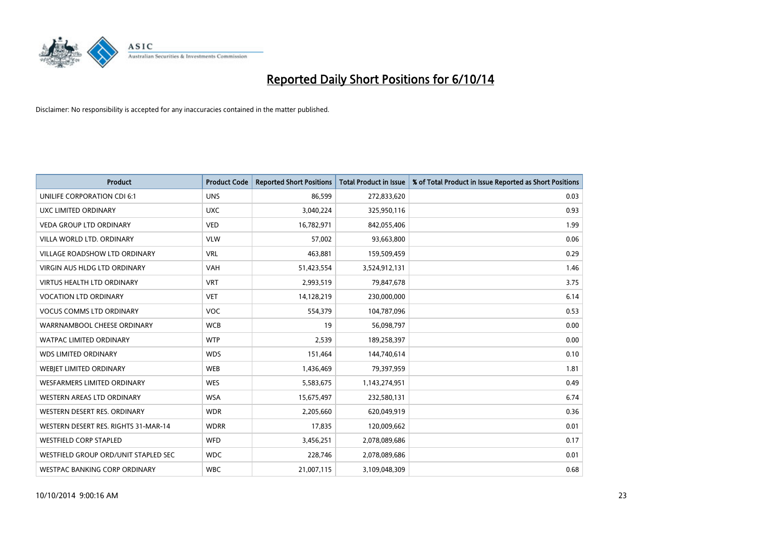

| <b>Product</b>                       | <b>Product Code</b> | <b>Reported Short Positions</b> | <b>Total Product in Issue</b> | % of Total Product in Issue Reported as Short Positions |
|--------------------------------------|---------------------|---------------------------------|-------------------------------|---------------------------------------------------------|
| UNILIFE CORPORATION CDI 6:1          | <b>UNS</b>          | 86,599                          | 272,833,620                   | 0.03                                                    |
| UXC LIMITED ORDINARY                 | <b>UXC</b>          | 3,040,224                       | 325,950,116                   | 0.93                                                    |
| <b>VEDA GROUP LTD ORDINARY</b>       | <b>VED</b>          | 16,782,971                      | 842,055,406                   | 1.99                                                    |
| VILLA WORLD LTD, ORDINARY            | <b>VLW</b>          | 57,002                          | 93,663,800                    | 0.06                                                    |
| <b>VILLAGE ROADSHOW LTD ORDINARY</b> | <b>VRL</b>          | 463,881                         | 159,509,459                   | 0.29                                                    |
| <b>VIRGIN AUS HLDG LTD ORDINARY</b>  | <b>VAH</b>          | 51,423,554                      | 3,524,912,131                 | 1.46                                                    |
| <b>VIRTUS HEALTH LTD ORDINARY</b>    | <b>VRT</b>          | 2,993,519                       | 79,847,678                    | 3.75                                                    |
| <b>VOCATION LTD ORDINARY</b>         | <b>VET</b>          | 14,128,219                      | 230,000,000                   | 6.14                                                    |
| <b>VOCUS COMMS LTD ORDINARY</b>      | VOC                 | 554,379                         | 104,787,096                   | 0.53                                                    |
| WARRNAMBOOL CHEESE ORDINARY          | <b>WCB</b>          | 19                              | 56,098,797                    | 0.00                                                    |
| WATPAC LIMITED ORDINARY              | <b>WTP</b>          | 2,539                           | 189,258,397                   | 0.00                                                    |
| <b>WDS LIMITED ORDINARY</b>          | <b>WDS</b>          | 151,464                         | 144,740,614                   | 0.10                                                    |
| WEBJET LIMITED ORDINARY              | <b>WEB</b>          | 1,436,469                       | 79,397,959                    | 1.81                                                    |
| <b>WESFARMERS LIMITED ORDINARY</b>   | <b>WES</b>          | 5,583,675                       | 1,143,274,951                 | 0.49                                                    |
| WESTERN AREAS LTD ORDINARY           | <b>WSA</b>          | 15,675,497                      | 232,580,131                   | 6.74                                                    |
| WESTERN DESERT RES. ORDINARY         | <b>WDR</b>          | 2,205,660                       | 620,049,919                   | 0.36                                                    |
| WESTERN DESERT RES. RIGHTS 31-MAR-14 | <b>WDRR</b>         | 17,835                          | 120,009,662                   | 0.01                                                    |
| <b>WESTFIELD CORP STAPLED</b>        | WFD                 | 3,456,251                       | 2,078,089,686                 | 0.17                                                    |
| WESTFIELD GROUP ORD/UNIT STAPLED SEC | <b>WDC</b>          | 228,746                         | 2,078,089,686                 | 0.01                                                    |
| WESTPAC BANKING CORP ORDINARY        | <b>WBC</b>          | 21,007,115                      | 3,109,048,309                 | 0.68                                                    |